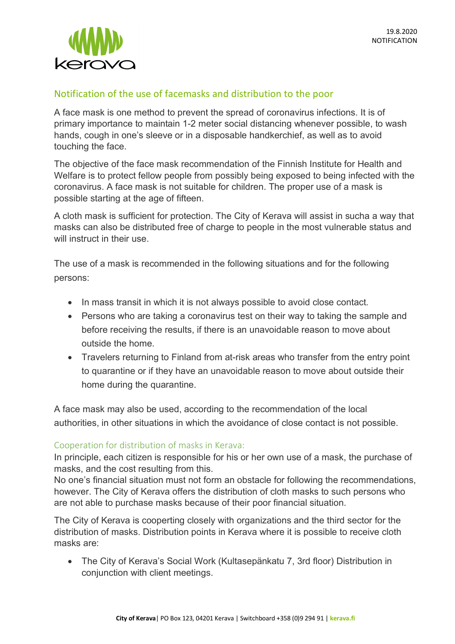

## Notification of the use of facemasks and distribution to the poor

A face mask is one method to prevent the spread of coronavirus infections. It is of primary importance to maintain 1-2 meter social distancing whenever possible, to wash hands, cough in one's sleeve or in a disposable handkerchief, as well as to avoid touching the face.

The objective of the face mask recommendation of the Finnish Institute for Health and Welfare is to protect fellow people from possibly being exposed to being infected with the coronavirus. A face mask is not suitable for children. The proper use of a mask is possible starting at the age of fifteen.

A cloth mask is sufficient for protection. The City of Kerava will assist in sucha a way that masks can also be distributed free of charge to people in the most vulnerable status and will instruct in their use.

The use of a mask is recommended in the following situations and for the following persons:

- In mass transit in which it is not always possible to avoid close contact.
- Persons who are taking a coronavirus test on their way to taking the sample and before receiving the results, if there is an unavoidable reason to move about outside the home.
- Travelers returning to Finland from at-risk areas who transfer from the entry point to quarantine or if they have an unavoidable reason to move about outside their home during the quarantine.

A face mask may also be used, according to the recommendation of the local authorities, in other situations in which the avoidance of close contact is not possible.

## Cooperation for distribution of masks in Kerava:

In principle, each citizen is responsible for his or her own use of a mask, the purchase of masks, and the cost resulting from this.

No one's financial situation must not form an obstacle for following the recommendations, however. The City of Kerava offers the distribution of cloth masks to such persons who are not able to purchase masks because of their poor financial situation.

The City of Kerava is cooperting closely with organizations and the third sector for the distribution of masks. Distribution points in Kerava where it is possible to receive cloth masks are:

• The City of Kerava's Social Work (Kultasepänkatu 7, 3rd floor) Distribution in conjunction with client meetings.